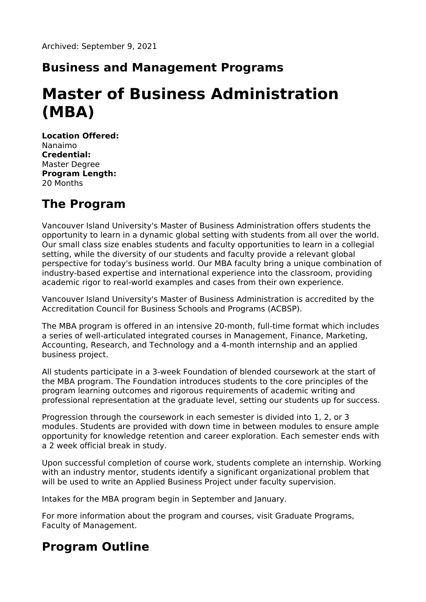### **Business and Management Programs**

# **Master of Business Administration (MBA)**

**Location Offered:** Nanaimo **Credential:** Master Degree **Program Length:** 20 Months

# **The Program**

Vancouver Island University's Master of Business Administration offers students the opportunity to learn in a dynamic global setting with students from all over the world. Our small class size enables students and faculty opportunities to learn in a collegial setting, while the diversity of our students and faculty provide a relevant global perspective for today's business world. Our MBA faculty bring a unique combination of industry-based expertise and international experience into the classroom, providing academic rigor to real-world examples and cases from their own experience.

Vancouver Island University's Master of Business Administration is accredited by the Accreditation Council for Business Schools and Programs (ACBSP).

The MBA program is offered in an intensive 20-month, full-time format which includes a series of well-articulated integrated courses in Management, Finance, Marketing, Accounting, Research, and Technology and a 4-month internship and an applied business project.

All students participate in a 3-week Foundation of blended coursework at the start of the MBA program. The Foundation introduces students to the core principles of the program learning outcomes and rigorous requirements of academic writing and professional representation at the graduate level, setting our students up for success.

Progression through the coursework in each semester is divided into 1, 2, or 3 modules. Students are provided with down time in between modules to ensure ample opportunity for knowledge retention and career exploration. Each semester ends with a 2 week official break in study.

Upon successful completion of course work, students complete an internship. Working with an industry mentor, students identify a significant organizational problem that will be used to write an Applied Business Project under faculty supervision.

Intakes for the MBA program begin in September and January.

For more information about the program and courses, visit Graduate Programs, Faculty of Management.

# **Program Outline**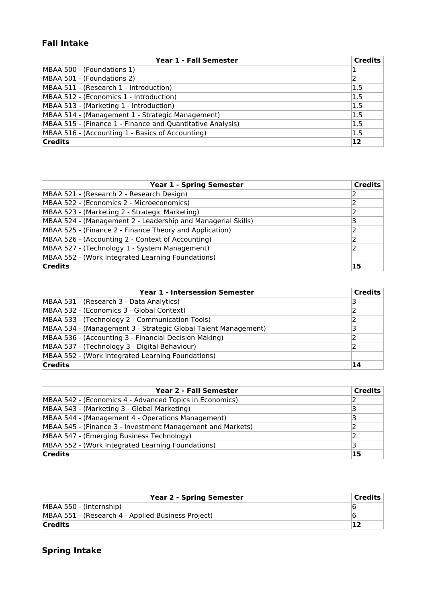### **Fall Intake**

| Year 1 - Fall Semester                                     | <b>Credits</b> |
|------------------------------------------------------------|----------------|
| MBAA 500 - (Foundations 1)                                 |                |
| MBAA 501 - (Foundations 2)                                 |                |
| MBAA 511 - (Research 1 - Introduction)                     | 1.5            |
| MBAA 512 - (Economics 1 - Introduction)                    | 1.5            |
| MBAA 513 - (Marketing 1 - Introduction)                    | 1.5            |
| MBAA 514 - (Management 1 - Strategic Management)           | 1.5            |
| MBAA 515 - (Finance 1 - Finance and Quantitative Analysis) | 1.5            |
| MBAA 516 - (Accounting 1 - Basics of Accounting)           | 1.5            |
| <b>Credits</b>                                             | 12             |

| <b>Year 1 - Spring Semester</b>                              | <b>Credits</b> |
|--------------------------------------------------------------|----------------|
| MBAA 521 - (Research 2 - Research Design)                    |                |
| MBAA 522 - (Economics 2 - Microeconomics)                    |                |
| MBAA 523 - (Marketing 2 - Strategic Marketing)               |                |
| MBAA 524 - (Management 2 - Leadership and Managerial Skills) | 3              |
| MBAA 525 - (Finance 2 - Finance Theory and Application)      |                |
| MBAA 526 - (Accounting 2 - Context of Accounting)            |                |
| MBAA 527 - (Technology 1 - System Management)                |                |
| MBAA 552 - (Work Integrated Learning Foundations)            |                |
| <b>Credits</b>                                               | 15             |

| <b>Year 1 - Intersession Semester</b>                          | <b>Credits</b> |
|----------------------------------------------------------------|----------------|
| MBAA 531 - (Research 3 - Data Analytics)                       | 3              |
| MBAA 532 - (Economics 3 - Global Context)                      |                |
| MBAA 533 - (Technology 2 - Communication Tools)                |                |
| MBAA 534 - (Management 3 - Strategic Global Talent Management) |                |
| MBAA 536 - (Accounting 3 - Financial Decision Making)          |                |
| MBAA 537 - (Technology 3 - Digital Behaviour)                  |                |
| MBAA 552 - (Work Integrated Learning Foundations)              |                |
| <b>Credits</b>                                                 | 14             |

| <b>Year 2 - Fall Semester</b>                              | <b>Credits</b> |
|------------------------------------------------------------|----------------|
| MBAA 542 - (Economics 4 - Advanced Topics in Economics)    |                |
| MBAA 543 - (Marketing 3 - Global Marketing)                |                |
| MBAA 544 - (Management 4 - Operations Management)          | ٦              |
| MBAA 545 - (Finance 3 - Investment Management and Markets) |                |
| MBAA 547 - (Emerging Business Technology)                  |                |
| MBAA 552 - (Work Integrated Learning Foundations)          |                |
| <b>Credits</b>                                             | 15             |

| <b>Year 2 - Spring Semester</b>                    | Credits |
|----------------------------------------------------|---------|
| MBAA 550 - (Internship)                            |         |
| MBAA 551 - (Research 4 - Applied Business Project) |         |
| <b>Credits</b>                                     |         |

### **Spring Intake**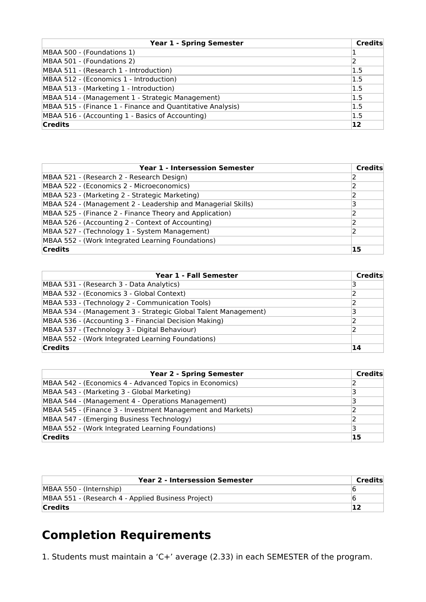| <b>Year 1 - Spring Semester</b>                            | <b>Credits</b> |
|------------------------------------------------------------|----------------|
| MBAA 500 - (Foundations 1)                                 |                |
| MBAA 501 - (Foundations 2)                                 |                |
| MBAA 511 - (Research 1 - Introduction)                     | 1.5            |
| MBAA 512 - (Economics 1 - Introduction)                    | 1.5            |
| MBAA 513 - (Marketing 1 - Introduction)                    | 1.5            |
| MBAA 514 - (Management 1 - Strategic Management)           | 1.5            |
| MBAA 515 - (Finance 1 - Finance and Quantitative Analysis) | 1.5            |
| MBAA 516 - (Accounting 1 - Basics of Accounting)           | 1.5            |
| <b>Credits</b>                                             | $ 12\rangle$   |

| <b>Year 1 - Intersession Semester</b>                        | Credits |
|--------------------------------------------------------------|---------|
| MBAA 521 - (Research 2 - Research Design)                    |         |
| MBAA 522 - (Economics 2 - Microeconomics)                    |         |
| MBAA 523 - (Marketing 2 - Strategic Marketing)               |         |
| MBAA 524 - (Management 2 - Leadership and Managerial Skills) | ٦       |
| MBAA 525 - (Finance 2 - Finance Theory and Application)      |         |
| MBAA 526 - (Accounting 2 - Context of Accounting)            |         |
| MBAA 527 - (Technology 1 - System Management)                |         |
| MBAA 552 - (Work Integrated Learning Foundations)            |         |
| <b>Credits</b>                                               | 15      |

| Year 1 - Fall Semester                                         | Credits |
|----------------------------------------------------------------|---------|
| MBAA 531 - (Research 3 - Data Analytics)                       |         |
| MBAA 532 - (Economics 3 - Global Context)                      |         |
| MBAA 533 - (Technology 2 - Communication Tools)                |         |
| MBAA 534 - (Management 3 - Strategic Global Talent Management) |         |
| MBAA 536 - (Accounting 3 - Financial Decision Making)          |         |
| MBAA 537 - (Technology 3 - Digital Behaviour)                  |         |
| MBAA 552 - (Work Integrated Learning Foundations)              |         |
| <b>Credits</b>                                                 | 14      |

| <b>Year 2 - Spring Semester</b>                            | Credits |
|------------------------------------------------------------|---------|
| MBAA 542 - (Economics 4 - Advanced Topics in Economics)    |         |
| MBAA 543 - (Marketing 3 - Global Marketing)                |         |
| MBAA 544 - (Management 4 - Operations Management)          |         |
| MBAA 545 - (Finance 3 - Investment Management and Markets) |         |
| MBAA 547 - (Emerging Business Technology)                  |         |
| MBAA 552 - (Work Integrated Learning Foundations)          |         |
| <b>Credits</b>                                             | 15      |

| <b>Year 2 - Intersession Semester</b>              | Credits |
|----------------------------------------------------|---------|
| MBAA 550 - (Internship)                            |         |
| MBAA 551 - (Research 4 - Applied Business Project) |         |
| <b>Credits</b>                                     |         |

# **Completion Requirements**

1. Students must maintain a 'C+' average (2.33) in each SEMESTER of the program.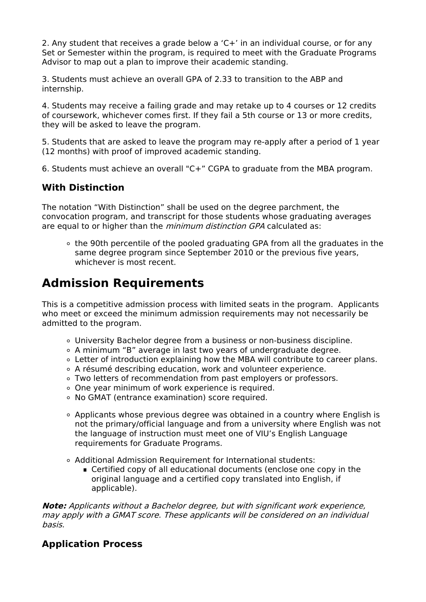2. Any student that receives a grade below a 'C+' in an individual course, or for any Set or Semester within the program, is required to meet with the Graduate Programs Advisor to map out a plan to improve their academic standing.

3. Students must achieve an overall GPA of 2.33 to transition to the ABP and internship.

4. Students may receive a failing grade and may retake up to 4 courses or 12 credits of coursework, whichever comes first. If they fail a 5th course or 13 or more credits, they will be asked to leave the program.

5. Students that are asked to leave the program may re-apply after a period of 1 year (12 months) with proof of improved academic standing.

6. Students must achieve an overall "C+" CGPA to graduate from the MBA program.

### **With Distinction**

The notation "With Distinction" shall be used on the degree parchment, the convocation program, and transcript for those students whose graduating averages are equal to or higher than the *minimum distinction GPA* calculated as:

o the 90th percentile of the pooled graduating GPA from all the graduates in the same degree program since September 2010 or the previous five years, whichever is most recent.

# **Admission Requirements**

This is a competitive admission process with limited seats in the program. Applicants who meet or exceed the minimum admission requirements may not necessarily be admitted to the program.

- University Bachelor degree from a business or non-business discipline.
- A minimum "B" average in last two years of undergraduate degree.
- Letter of introduction explaining how the MBA will contribute to career plans.
- A résumé describing education, work and volunteer experience.
- Two letters of recommendation from past employers or professors.
- o One year minimum of work experience is required.
- No GMAT (entrance examination) score required.
- Applicants whose previous degree was obtained in a country where English is not the primary/official language and from a university where English was not the language of instruction must meet one of VIU's English Language requirements for Graduate Programs.
- Additional Admission Requirement for International students:
	- Certified copy of all educational documents (enclose one copy in the original language and a certified copy translated into English, if applicable).

**Note:** Applicants without <sup>a</sup> Bachelor degree, but with significant work experience, may apply with <sup>a</sup> GMAT score. These applicants will be considered on an individual basis.

### **Application Process**